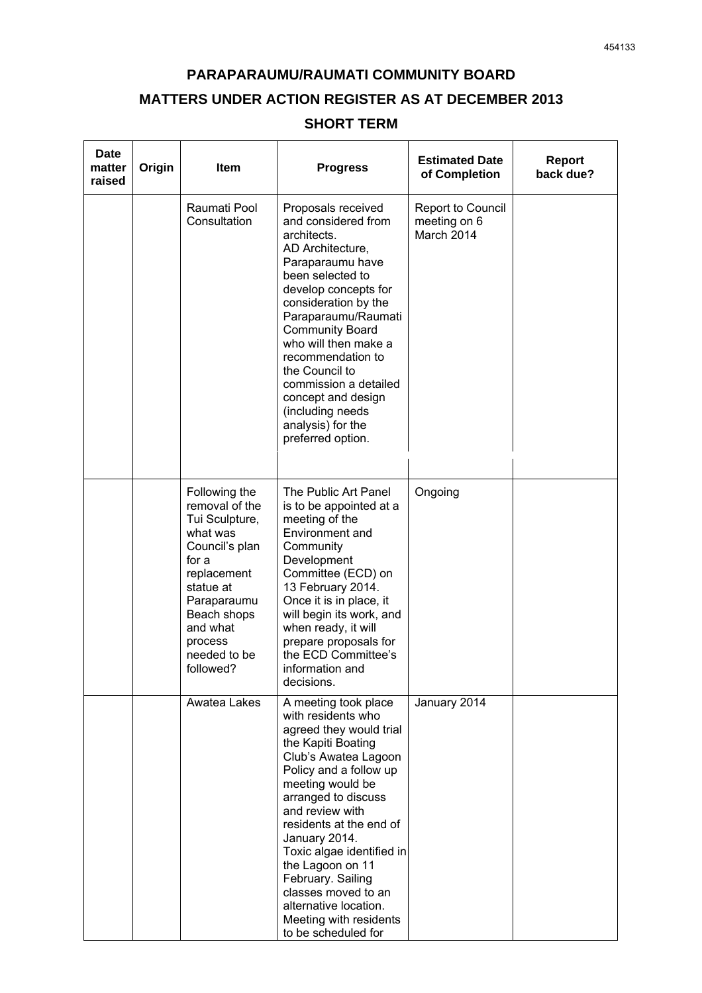## **PARAPARAUMU/RAUMATI COMMUNITY BOARD MATTERS UNDER ACTION REGISTER AS AT DECEMBER 2013**

## **SHORT TERM**

| <b>Date</b><br>matter<br>raised | Origin | Item                                                                                                                                                                                                   | <b>Progress</b>                                                                                                                                                                                                                                                                                                                                                                                                                | <b>Estimated Date</b><br>of Completion                 | <b>Report</b><br>back due? |
|---------------------------------|--------|--------------------------------------------------------------------------------------------------------------------------------------------------------------------------------------------------------|--------------------------------------------------------------------------------------------------------------------------------------------------------------------------------------------------------------------------------------------------------------------------------------------------------------------------------------------------------------------------------------------------------------------------------|--------------------------------------------------------|----------------------------|
|                                 |        | Raumati Pool<br>Consultation                                                                                                                                                                           | Proposals received<br>and considered from<br>architects.<br>AD Architecture,<br>Paraparaumu have<br>been selected to<br>develop concepts for<br>consideration by the<br>Paraparaumu/Raumati<br><b>Community Board</b><br>who will then make a<br>recommendation to<br>the Council to<br>commission a detailed<br>concept and design<br>(including needs<br>analysis) for the<br>preferred option.                              | <b>Report to Council</b><br>meeting on 6<br>March 2014 |                            |
|                                 |        | Following the<br>removal of the<br>Tui Sculpture,<br>what was<br>Council's plan<br>for a<br>replacement<br>statue at<br>Paraparaumu<br>Beach shops<br>and what<br>process<br>needed to be<br>followed? | The Public Art Panel<br>is to be appointed at a<br>meeting of the<br>Environment and<br>Community<br>Development<br>Committee (ECD) on<br>13 February 2014.<br>Once it is in place, it<br>will begin its work, and<br>when ready, it will<br>prepare proposals for<br>the ECD Committee's<br>information and<br>decisions.                                                                                                     | Ongoing                                                |                            |
|                                 |        | Awatea Lakes                                                                                                                                                                                           | A meeting took place<br>with residents who<br>agreed they would trial<br>the Kapiti Boating<br>Club's Awatea Lagoon<br>Policy and a follow up<br>meeting would be<br>arranged to discuss<br>and review with<br>residents at the end of<br>January 2014.<br>Toxic algae identified in<br>the Lagoon on 11<br>February. Sailing<br>classes moved to an<br>alternative location.<br>Meeting with residents<br>to be scheduled for | January 2014                                           |                            |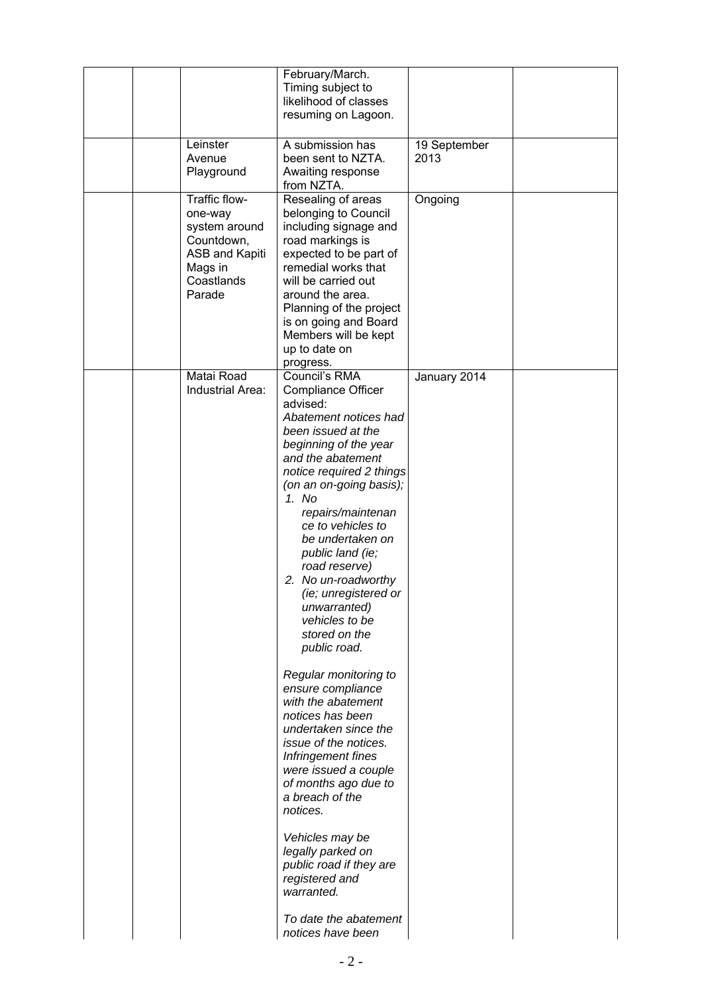|  |                                                                                                              | February/March.<br>Timing subject to<br>likelihood of classes<br>resuming on Lagoon.                                                                                                                                                                                                                                                                                                                                                                                                                                                                                                                                                                                                                                                                                                                                      |                      |  |
|--|--------------------------------------------------------------------------------------------------------------|---------------------------------------------------------------------------------------------------------------------------------------------------------------------------------------------------------------------------------------------------------------------------------------------------------------------------------------------------------------------------------------------------------------------------------------------------------------------------------------------------------------------------------------------------------------------------------------------------------------------------------------------------------------------------------------------------------------------------------------------------------------------------------------------------------------------------|----------------------|--|
|  |                                                                                                              |                                                                                                                                                                                                                                                                                                                                                                                                                                                                                                                                                                                                                                                                                                                                                                                                                           |                      |  |
|  | Leinster<br>Avenue<br>Playground                                                                             | A submission has<br>been sent to NZTA.<br>Awaiting response<br>from NZTA.                                                                                                                                                                                                                                                                                                                                                                                                                                                                                                                                                                                                                                                                                                                                                 | 19 September<br>2013 |  |
|  | Traffic flow-<br>one-way<br>system around<br>Countdown,<br>ASB and Kapiti<br>Mags in<br>Coastlands<br>Parade | Resealing of areas<br>belonging to Council<br>including signage and<br>road markings is<br>expected to be part of<br>remedial works that<br>will be carried out<br>around the area.<br>Planning of the project<br>is on going and Board<br>Members will be kept<br>up to date on<br>progress.                                                                                                                                                                                                                                                                                                                                                                                                                                                                                                                             | Ongoing              |  |
|  | Matai Road<br>Industrial Area:                                                                               | Council's RMA<br><b>Compliance Officer</b><br>advised:<br>Abatement notices had<br>been issued at the<br>beginning of the year<br>and the abatement<br>notice required 2 things<br>(on an on-going basis);<br>1. No<br>repairs/maintenan<br>ce to vehicles to<br>be undertaken on<br>public land (ie;<br>road reserve)<br>2. No un-roadworthy<br><i>(ie; unregistered or</i><br>unwarranted)<br>vehicles to be<br>stored on the<br>public road.<br>Regular monitoring to<br>ensure compliance<br>with the abatement<br>notices has been<br>undertaken since the<br>issue of the notices.<br>Infringement fines<br>were issued a couple<br>of months ago due to<br>a breach of the<br>notices.<br>Vehicles may be<br>legally parked on<br>public road if they are<br>registered and<br>warranted.<br>To date the abatement | January 2014         |  |
|  |                                                                                                              | notices have been                                                                                                                                                                                                                                                                                                                                                                                                                                                                                                                                                                                                                                                                                                                                                                                                         |                      |  |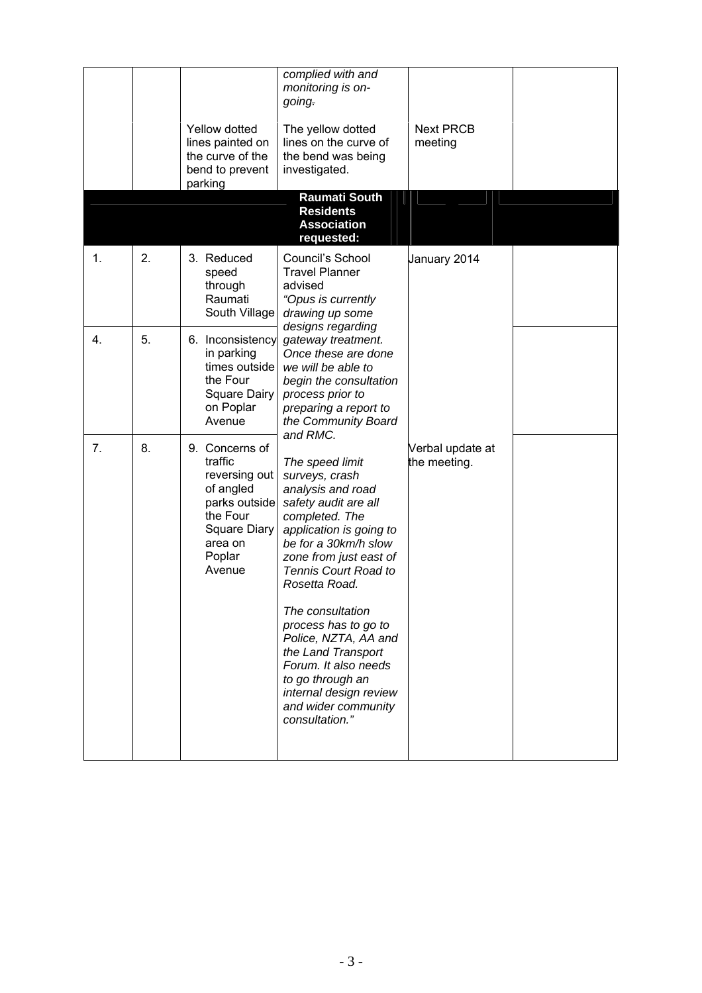|    |    | Yellow dotted<br>lines painted on<br>the curve of the<br>bend to prevent<br>parking                                                 | complied with and<br>monitoring is on-<br>going.<br>The yellow dotted<br>lines on the curve of<br>the bend was being<br>investigated.                                                                                  | <b>Next PRCB</b><br>meeting      |  |
|----|----|-------------------------------------------------------------------------------------------------------------------------------------|------------------------------------------------------------------------------------------------------------------------------------------------------------------------------------------------------------------------|----------------------------------|--|
|    |    |                                                                                                                                     | <b>Raumati South</b><br><b>Residents</b><br><b>Association</b><br>requested:                                                                                                                                           |                                  |  |
| 1. | 2. | 3. Reduced<br>speed<br>through<br>Raumati<br>South Village                                                                          | Council's School<br><b>Travel Planner</b><br>advised<br>"Opus is currently<br>drawing up some<br>designs regarding                                                                                                     | January 2014                     |  |
| 4. | 5. | 6. Inconsistency<br>in parking<br>times outside<br>the Four<br>Square Dairy<br>on Poplar<br>Avenue                                  | gateway treatment.<br>Once these are done<br>we will be able to<br>begin the consultation<br>process prior to<br>preparing a report to<br>the Community Board<br>and RMC.                                              |                                  |  |
| 7. | 8. | 9. Concerns of<br>traffic<br>reversing out<br>of angled<br>parks outside<br>the Four<br>Square Diary<br>area on<br>Poplar<br>Avenue | The speed limit<br>surveys, crash<br>analysis and road<br>safety audit are all<br>completed. The<br>application is going to<br>be for a 30km/h slow<br>zone from just east of<br>Tennis Court Road to<br>Rosetta Road. | Verbal update at<br>the meeting. |  |
|    |    |                                                                                                                                     | The consultation<br>process has to go to<br>Police, NZTA, AA and<br>the Land Transport<br>Forum. It also needs<br>to go through an<br>internal design review<br>and wider community<br>consultation."                  |                                  |  |